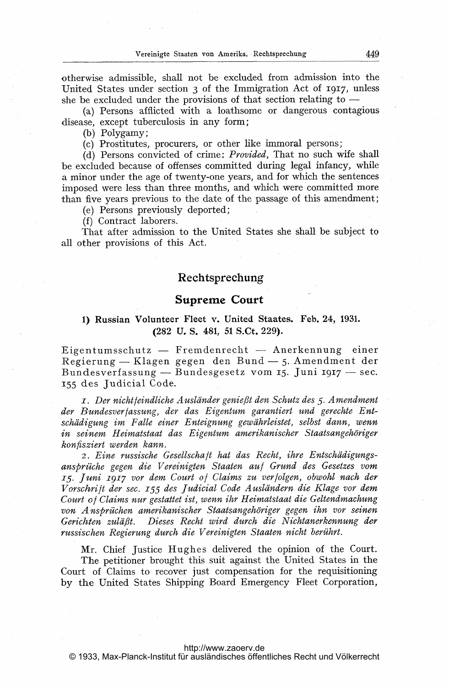otherwise admissible, shall not be excluded from admission into the United States under section  $\alpha$  of the Immigration Act of 1917, unless she be excluded under the provisions of that section relating to -

(a) Persons afflicted with a loathsome or dangerous contagious disease, except tuberculosis in any form;

(b) Polygamy;

(c) Prostitutes, procurers, or other like immoral persons;

(d) Persons convicted of crime: *Provided*, That no such wife shall be excluded because of offenses committed during legal infancy, while a minor under the age of twenty-one years, and for which the sentences imposed were less than three months, and which were committed more than five years previous to the date of the passage of this amendment;

(e) Persons previously deported;

(f) Contract laborers.

That after admission to the United States she shall be subject to all other provisions of this Act.

## Rechtsprechung

## Supreme Court

# 1) Russian Volunteer Fleet v. United Staates. Feb. 24, 1931. (282 U. S. 481, 51 S.Ct. 229).

.<br>Eigentumsschutz — Fremdenrecht — Anerkennung einer ngentumsschutz — Fremdenrecht — Anerkennung einer<br>Regierung — Klagen gegen den Bund — 5. Amendment der Kegierung — Klagen gegen den Bund — 5. Amendment dei<br>Bundesverfassung — Bundesgesetz vom 15. Juni 1917 — sec. 155 des judicial Code.

I. Der nichtfeindliche Ausländer genießt den Schutz des 5. Amendment der Bundesverfassung, der das Eigentum garantiert und gerechte Entschädigung im Falle einer Enteignung gewährleistet, selbst dann, wenn in seinem Heimatstaat das Eigentum amerikanischer Staatsangehöriger konfisziert werden kann.

2. Eine russische Gesellschaft hat das Recht, ihre Entschädigungsansprüche gegen die Vereinigten Staaten auf Grund.des Gesetzes vom 15. Juni 1917 vor dem Court of Claims zu verfolgen, obwohl nach der Vorschrift der sec. 155 des Judicial Code Ausländern die Klage vor dem Court of Claims nur gestattet ist, wenn ihr Heimatstaat die Geltendmachung von Ansprüchen amerikanischer Staatsangehöriger gegen ihn vor seinen Gerichten zuläßt. Dieses Recht wird durch die Nichtanerkennung der russischen Regierung durch die Vereinigten Staaten nicht berührt.

Mr. Chief justice Hughes delivered the opinion of the Court. The petitioner brought this suit against the United States in the Court of Claims to recover just compensation for the requisitioning by the United States Shipping Board Emergency Fleet Corporation,

#### <http://www.zaoerv.de>

© 1933, Max-Planck-Institut für ausländisches öffentliches Recht und Völkerrecht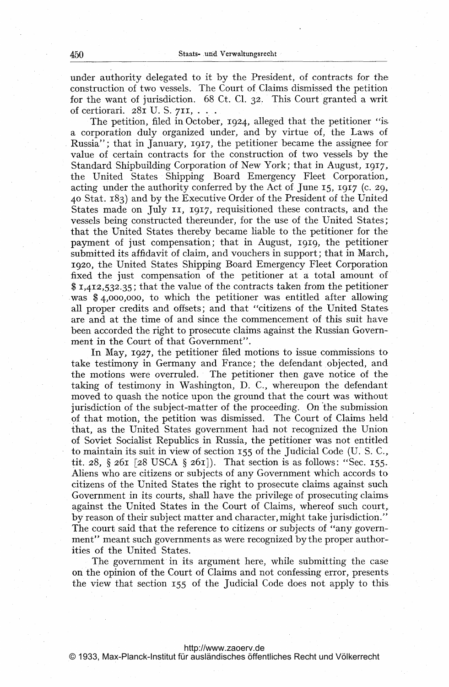under authority delegated to it by the President, of contracts for the. construction of two vessels. The Court of Claims dismissed the petition for the want of jurisdiction. 68 Ct. Cl. 32. This Court granted a writ of certiorari.  $28I$  U. S.  $7II, \ldots$ .

The petition, filed in October, 1924, alleged that the petitioner "is <sup>a</sup> corporation duly organized under, and by virtue of, the Laws of Russia"; that in January, 1917, the petitioner became the assignee for value of certain contracts for the construction of two vessels by the Standard Shipbuilding Corporation of New York; that in August, 1917, the United States Shipping Board Emergency Fleet Corporation, acting under the authority conferred by the Act of June 15, 1917 (c. 29, 40 Stat. 183) and by the Executive Order of the President of the United States made on July 11, 1917, requisitioned these contracts, and the vessels being constructed thereunder, for the use of the United States; that the United States thereby became liable to the petitioner for the payment of just compensation; that in August, igig, the petitioner submitted its affidavit of claim, and vouchers in support; that in March, 1920, the United States Shipping Board Emergency Fleet Corporation fixed the just compensation of the petitioner at a total amount of \$ 1,412,532.35; that the value of the contracts taken from the petitioner was \$ 4,000,000, to which the petitioner was entitled after allowing all proper credits and offsets; and that "citizens of the United States are and at the time of and since the commencement of this suit have been accorded the right to prosecute claims against the Russian Government in the Court of that Government".

In May, 1927, the petitioner filed motions to issue commissions to take testimony in Germany and France; the defendant objected, and the motions were overruled. The petitioner then gave notice of the taking of testimony in Washington, D. C., whereupon the defendant moved to quash the notice upon the ground that the court was without jurisdiction of the subject-matter of the proceeding. On'the submission of that motion, the petition was dismissed. The Court of Claims held that, as the United States government had not recognized the Union of Soviet Socialist Republics in Russia, the petitioner was not entitled to maintain its suit in view of section 155 of the judicial Code (U. S. C., tit. 28,  $\S$  261 [28 USCA  $\S$  261]). That section is as follows: "Sec. 155. Aliens who are citizens or subjects of any Government which accords to citizens of the United States the right to prosecute claims against such Government in its courts, shall have the privilege of prosecuting claims against the United States in the Court of Claims, whereof such court, by reason of their subject matter and character, might take jurisdiction." The court said that the reference to citizens or subjects of "any government" meant such governments as were recognized by the proper authorities of the United States.

The government in its argument here, while submitting the case on the opinion of the Court of Claims and not confessing error, presents the view that section 155 of the judicial Code does not apply to this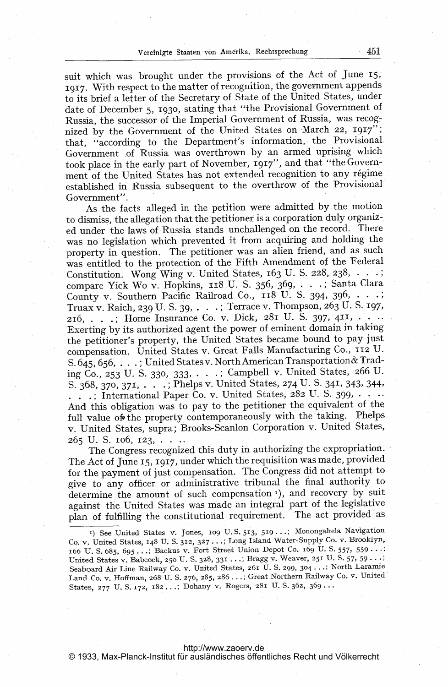suit which was brought under the provisions of the Act of June 15, 1917. With respect to the matter of recognition, the government appends to its brief a letter of the Secretary of State of the United States, under date of December 5, 1930, stating that "the Provisional Government of Russia, the successor of the Imperial Government of Russia, was recognized by the Government of the United States on March 22, 1917"; that, "according to the Department's information, the Provisional Government of Russia was overthrown by an armed uprising which took place in the early part of November, 1917", and that "the Government of the United States has not extended recognition to any régime established in Russia subsequent to the overthrow of the Provisional Government".

As the facts alleged in the petition were admitted by the motion to dismiss, the allegation that the'petitioner is a corporation duly organiz-. ed under the laws of Russia stands unchallenged on the record. There was no legislation which prevented it from acquiring and holding the property in question. The petitioner was an alien friend, and as such was entitled to the protection of the Fifth Amendment of the Federal Constitution. Wong Wing v. United States, 163 U. S. 228, 238,  $\ldots$ ; compare Yick Wo v. Hopkins,  $118$  U. S. 356, 369,  $\ldots$ ; Santa Clara County v. Southern Pacific Railroad Co.,  $118$  U. S. 394, 396, ...; Truax v. Raich, 239 U. S. 39, - - .; Terrace v. Thompson, 263 U. S- 197, 216, ...; Home Insurance Co. v. Dick, 281 U. S. 397, 411, ... Exerting by its authorized agent the power of eminent domain in taking the petitioner's property, the United States became bound to pay just compensation. United States v. Great Falls Manufacturing Co., 112 U. S.645,656. ; United States v. North American Transportation& Trading CO., 253 U. S. 330, 333, - .; Campbell v. United States, 266 U. S. 368, 370, 371, . . . . ; Phelps v. United States, 274 U. S. 341, 343, 344,  $\ldots$ ; International Paper Co. v. United States, 282 U. S. 399,  $\ldots$ And this obligation was to pay to the petitioner the equivalent of the, full value ofethe property contemporaneously with the taking. Phelps v. United States, supra; Brooks-Scanlon Corporation v. United States, 265 U.S. 106, 123, ...

The Congress recognized this duty in authorizing the expropriation. The Act of June 15, 1917, under which the requisition was made, provided for the payment of just compensation. The Congress did not attempt to give to any officer or administrative tribunal the final authority to determine the amount of such compensation<sup>1</sup>), and recovery by suit against the United States was made an integral part of the legislative plan of fulfilling the constitutional requirement. The act provided as

<http://www.zaoerv.de>

© 1933, Max-Planck-Institut für ausländisches öffentliches Recht und Völkerrecht

<sup>1)</sup> See United States v. Jones, 109 U.S. 513, 519 ...; Monongahela Navigation Co. v. United States, 148 U. S. 312, 327 ...; Long Island Water-Supply Co. v. Brooklyn, 166 U. S. 685, 695 ...; Backus v. Fort Street Union Depot Co. 169 U. S. 557, 559 ...; United States v. Babcock, 250 U. S. 328, 331 ...; Bragg v. Weaver, 251 U. S. 57, 59 ...; Seaboard Air Line Railway Co. v. United States, 261 U. S. 299, 304 ...; North Laramie Land Co. v. Hoffman, 268 U. S. 276, 285, 286 . . .; Great Northern Railway Co. v. United States, 277 U. S. 172, 182 ...; Dohany v. Rogers, 281 U. S. 362, 369 ...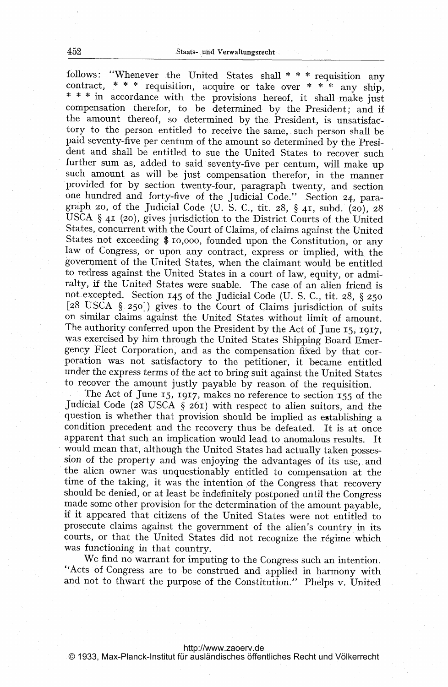follows: "Whenever the United States shall  $* * *$  requisition any contract, \* \* \* requisition, acquire or take over \* \* \* any ship, \* \* \* in accordance with the provisions hereof, it shall make just compensation therefor, to be determined by the President; and if the amount thereof, so determined by the President, is unsatisfactory to the person entitled to receive the same, such person shall be paid seventy-five per centum of the amount so determined by the President and shall be entitled to sue the United States to recover such further sum as, added to said seventy-five per centum, will make up such amount as will be just compensation therefor, in the manner provided for by section twenty-four, paragraph twenty, and section one hundred and forty-five of the Judicial Code." Section 24, paragraph 20, of the Judicial Code (U. S. C., tit. 28, § 41, subd. (20), 28 USCA § <sup>41</sup> (20), gives jurisdiction to the District Courts of the United States, concurrent with the Court of Claims, of claims against the United States not exceeding \$ io,ooo, founded upon the Constitution, or any law of Congress, or upon any contract, express or implied, with the government of the United States, when the claimant would be entitled to redress against the United States in a court of law, equity, or admiralty, if the United States were suable. The case.of an alien friend is not excepted. Section <sup>145</sup> of the judicial Code (U. S. C., tit. 28, § <sup>250</sup> [28 USCA § 250]) gives to the Court of Claims jurisdiction of suits on similar claims against the United Stateswithout limit of amount. The authority conferred upon the President by the Act of June 15, 1917, was exercised by him through the United States Shipping Board Emergency Fleet Corporation, and as the compensation fixed by that corporation was not satisfactory to the petitioner, it became entitled under the express terms of the act to bring suit against the United States to recover the amount justly payable by reason, of the requisition.

The Act of June 15, 1917, makes no reference to section <sup>155</sup> of the judicial Code (28 USCA § 261) with respect to alien suitors, and the question is whether that provision should be implied as establishing <sup>a</sup> condition precedent and the recovery thus be defeated. It is at once apparent that such an implication would lead to anomalous results. It would mean that, although the United States had actually taken possession of the property and was enjoying the advantages of its use, and the alien owner was unquestionably entitled to compensation at the time of the taking, it was the intention of the Congress that recovery should be denied, or at least be indefinitely postponed until the Congress made some other provision for the determination of the amount payable, if it appeared that citizens of the United States were not entitled to prosecute claims against the government of the alien's country in its courts, or that the United States did not recognize the régime which was functioning in that country.

We find no warrant for imputing to the Congress such an intention. "Acts of Congress are to be construed and applied in harmony with and not to thwart the purpose of the Constitution." Phelps v. United